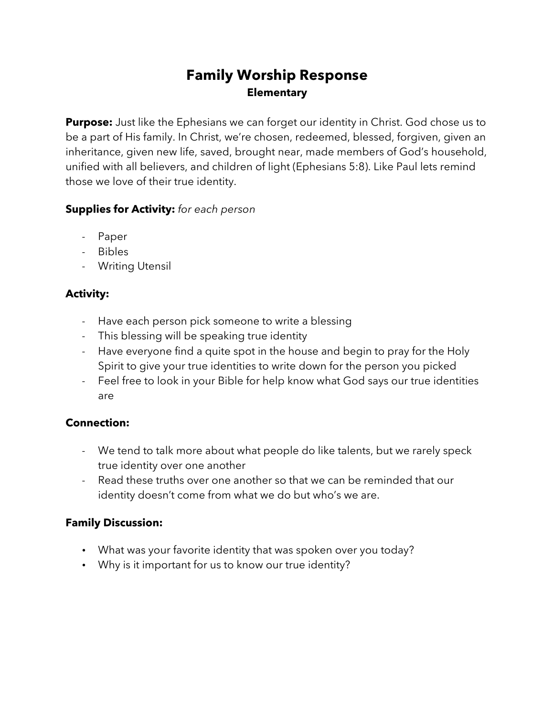# **Family Worship Response Elementary**

**Purpose:** Just like the Ephesians we can forget our identity in Christ. God chose us to be a part of His family. In Christ, we're chosen, redeemed, blessed, forgiven, given an inheritance, given new life, saved, brought near, made members of God's household, unified with all believers, and children of light (Ephesians 5:8). Like Paul lets remind those we love of their true identity.

### **Supplies for Activity:** *for each person*

- Paper
- Bibles
- Writing Utensil

## **Activity:**

- Have each person pick someone to write a blessing
- This blessing will be speaking true identity
- Have everyone find a quite spot in the house and begin to pray for the Holy Spirit to give your true identities to write down for the person you picked
- Feel free to look in your Bible for help know what God says our true identities are

## **Connection:**

- We tend to talk more about what people do like talents, but we rarely speck true identity over one another
- Read these truths over one another so that we can be reminded that our identity doesn't come from what we do but who's we are.

## **Family Discussion:**

- What was your favorite identity that was spoken over you today?
- Why is it important for us to know our true identity?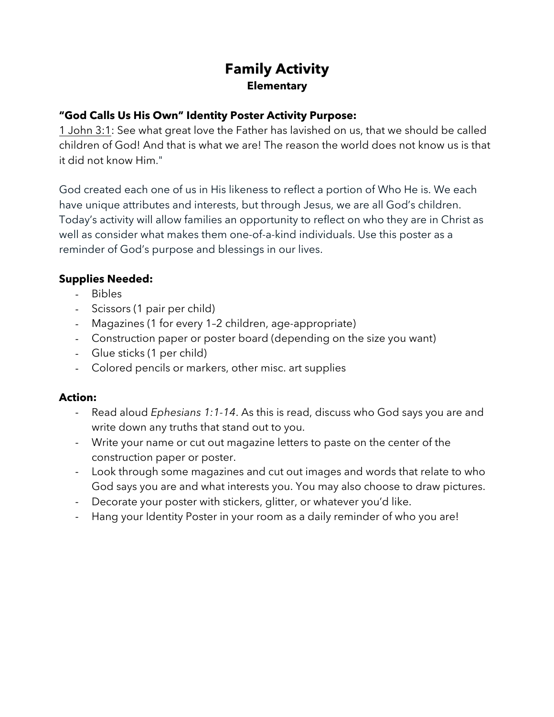# **Family Activity Elementary**

### **"God Calls Us His Own" Identity Poster Activity Purpose:**

1 John 3:1: See what great love the Father has lavished on us, that we should be called children of God! And that is what we are! The reason the world does not know us is that it did not know Him."

God created each one of us in His likeness to reflect a portion of Who He is. We each have unique attributes and interests, but through Jesus, we are all God's children. Today's activity will allow families an opportunity to reflect on who they are in Christ as well as consider what makes them one-of-a-kind individuals. Use this poster as a reminder of God's purpose and blessings in our lives.

#### **Supplies Needed:**

- Bibles
- Scissors (1 pair per child)
- Magazines (1 for every 1–2 children, age-appropriate)
- Construction paper or poster board (depending on the size you want)
- Glue sticks (1 per child)
- Colored pencils or markers, other misc. art supplies

#### **Action:**

- Read aloud *Ephesians 1:1-14*. As this is read, discuss who God says you are and write down any truths that stand out to you.
- Write your name or cut out magazine letters to paste on the center of the construction paper or poster.
- Look through some magazines and cut out images and words that relate to who God says you are and what interests you. You may also choose to draw pictures.
- Decorate your poster with stickers, glitter, or whatever you'd like.
- Hang your Identity Poster in your room as a daily reminder of who you are!